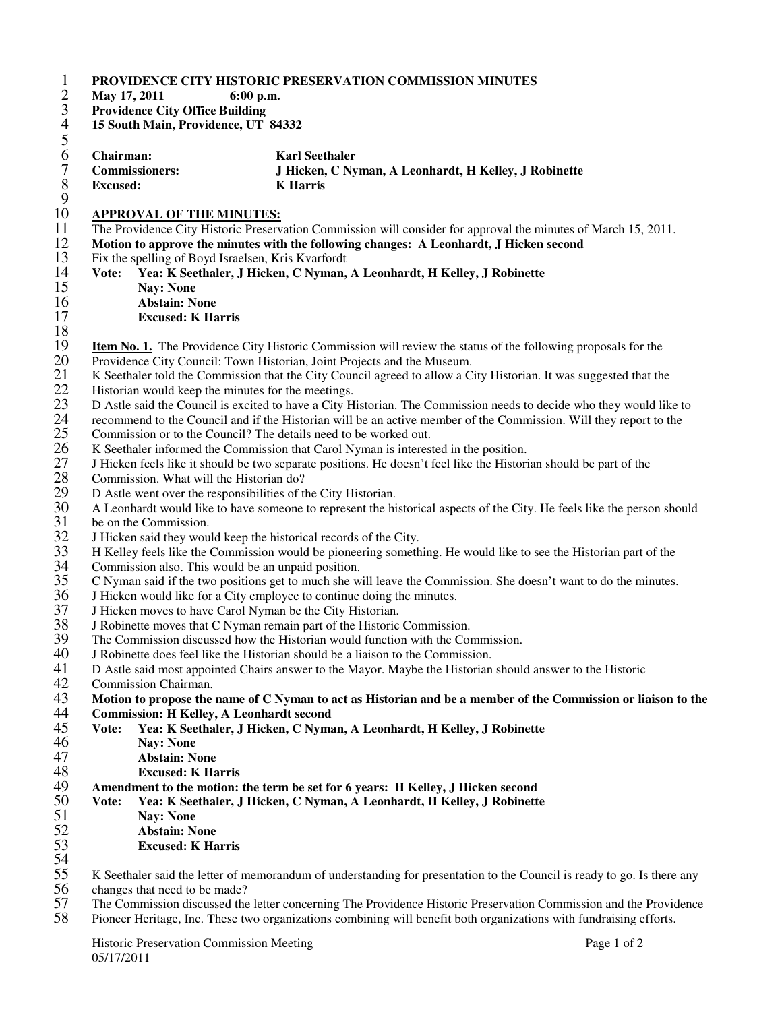| May 17, 2011<br><b>Providence City Office Building</b> | 6:00 p.m.                                                                                                                                                         |
|--------------------------------------------------------|-------------------------------------------------------------------------------------------------------------------------------------------------------------------|
| 15 South Main, Providence, UT 84332                    |                                                                                                                                                                   |
|                                                        |                                                                                                                                                                   |
| Chairman:                                              | <b>Karl Seethaler</b>                                                                                                                                             |
| <b>Commissioners:</b>                                  | J Hicken, C Nyman, A Leonhardt, H Kelley, J Robinette                                                                                                             |
| <b>Excused:</b>                                        | <b>K</b> Harris                                                                                                                                                   |
|                                                        |                                                                                                                                                                   |
| <b>APPROVAL OF THE MINUTES:</b>                        | The Providence City Historic Preservation Commission will consider for approval the minutes of March 15, 2011.                                                    |
|                                                        |                                                                                                                                                                   |
|                                                        | Motion to approve the minutes with the following changes: A Leonhardt, J Hicken second<br>Fix the spelling of Boyd Israelsen, Kris Kvarfordt                      |
| Vote:                                                  | Yea: K Seethaler, J Hicken, C Nyman, A Leonhardt, H Kelley, J Robinette                                                                                           |
| <b>Nay: None</b>                                       |                                                                                                                                                                   |
| <b>Abstain: None</b>                                   |                                                                                                                                                                   |
| <b>Excused: K Harris</b>                               |                                                                                                                                                                   |
|                                                        |                                                                                                                                                                   |
|                                                        | <b>Item No. 1.</b> The Providence City Historic Commission will review the status of the following proposals for the                                              |
|                                                        | Providence City Council: Town Historian, Joint Projects and the Museum.                                                                                           |
|                                                        | K Seethaler told the Commission that the City Council agreed to allow a City Historian. It was suggested that the                                                 |
|                                                        | Historian would keep the minutes for the meetings.                                                                                                                |
|                                                        | D Astle said the Council is excited to have a City Historian. The Commission needs to decide who they would like to                                               |
|                                                        | recommend to the Council and if the Historian will be an active member of the Commission. Will they report to the                                                 |
|                                                        | Commission or to the Council? The details need to be worked out.                                                                                                  |
|                                                        | K Seethaler informed the Commission that Carol Nyman is interested in the position.                                                                               |
|                                                        | J Hicken feels like it should be two separate positions. He doesn't feel like the Historian should be part of the                                                 |
| Commission. What will the Historian do?                |                                                                                                                                                                   |
|                                                        | D Astle went over the responsibilities of the City Historian.                                                                                                     |
|                                                        | A Leonhardt would like to have someone to represent the historical aspects of the City. He feels like the person should                                           |
| be on the Commission.                                  |                                                                                                                                                                   |
|                                                        | J Hicken said they would keep the historical records of the City.                                                                                                 |
|                                                        | H Kelley feels like the Commission would be pioneering something. He would like to see the Historian part of the                                                  |
|                                                        | Commission also. This would be an unpaid position.                                                                                                                |
|                                                        | C Nyman said if the two positions get to much she will leave the Commission. She doesn't want to do the minutes.                                                  |
|                                                        | J Hicken would like for a City employee to continue doing the minutes.                                                                                            |
|                                                        | J Hicken moves to have Carol Nyman be the City Historian.                                                                                                         |
|                                                        | J Robinette moves that C Nyman remain part of the Historic Commission.                                                                                            |
|                                                        | The Commission discussed how the Historian would function with the Commission.<br>J Robinette does feel like the Historian should be a liaison to the Commission. |
|                                                        | D Astle said most appointed Chairs answer to the Mayor. Maybe the Historian should answer to the Historic                                                         |
| Commission Chairman.                                   |                                                                                                                                                                   |
|                                                        | Motion to propose the name of C Nyman to act as Historian and be a member of the Commission or liaison to the                                                     |
|                                                        | <b>Commission: H Kelley, A Leonhardt second</b>                                                                                                                   |
| Vote:                                                  | Yea: K Seethaler, J Hicken, C Nyman, A Leonhardt, H Kelley, J Robinette                                                                                           |
| <b>Nay: None</b>                                       |                                                                                                                                                                   |
| <b>Abstain: None</b>                                   |                                                                                                                                                                   |
| <b>Excused: K Harris</b>                               |                                                                                                                                                                   |
|                                                        | Amendment to the motion: the term be set for 6 years: H Kelley, J Hicken second                                                                                   |
| Vote:                                                  | Yea: K Seethaler, J Hicken, C Nyman, A Leonhardt, H Kelley, J Robinette                                                                                           |
| <b>Nay: None</b>                                       |                                                                                                                                                                   |
| <b>Abstain: None</b>                                   |                                                                                                                                                                   |
| <b>Excused: K Harris</b>                               |                                                                                                                                                                   |
|                                                        |                                                                                                                                                                   |
|                                                        | K Seethaler said the letter of memorandum of understanding for presentation to the Council is ready to go. Is there any                                           |
| changes that need to be made?                          |                                                                                                                                                                   |

57 The Commission discussed the letter concerning The Providence Historic Preservation Commission and the Providence<br>58 Pioneer Heritage, Inc. These two organizations combining will benefit both organizations with fundrais

Pioneer Heritage, Inc. These two organizations combining will benefit both organizations with fundraising efforts.